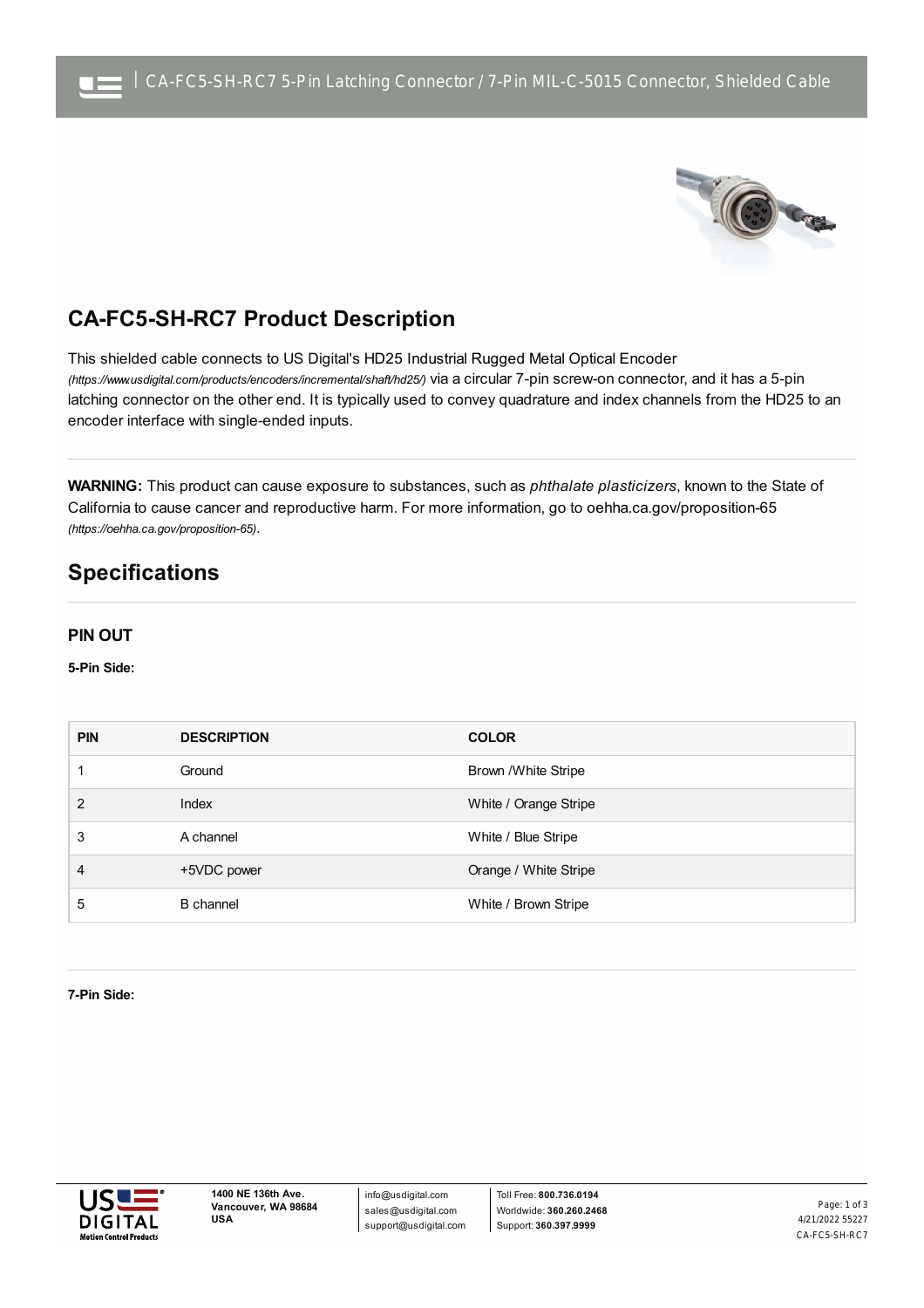

## **CA-FC5-SH-RC7 Product Description**

This shielded cable connects to US Digital's HD25 Industrial Rugged Metal Optical Encoder *(https://www.usdigital.com/products/encoders/incremental[/shaft/hd25/\)](https://www.usdigital.com/products/encoders/incremental/shaft/hd25/)* via a circular 7-pin screw-on connector, and it has a 5-pin latching connector on the other end. It is typically used to convey quadrature and index channels from the HD25 to an encoder interface with single-ended inputs.

**WARNING:** This product can cause exposure to substances, such as *phthalate plasticizers*, known to the State of California to cause cancer and reproductive harm. For more information, go to oehha.ca.gov/proposition-65 *(https://oehha.ca.gov/proposition-65)*.

## **Specifications**

## **PIN OUT**

**5-Pin Side:**

| <b>PIN</b> | <b>DESCRIPTION</b> | <b>COLOR</b>          |
|------------|--------------------|-----------------------|
|            | Ground             | Brown /White Stripe   |
| 2          | Index              | White / Orange Stripe |
| 3          | A channel          | White / Blue Stripe   |
| 4          | +5VDC power        | Orange / White Stripe |
| 5          | <b>B</b> channel   | White / Brown Stripe  |

**7-Pin Side:**



info@usdigital.com sales@usdigital.com support@usdigital.com

4/21/2022 55227 CA-FC5-SH-RC7 Page: 1 of 3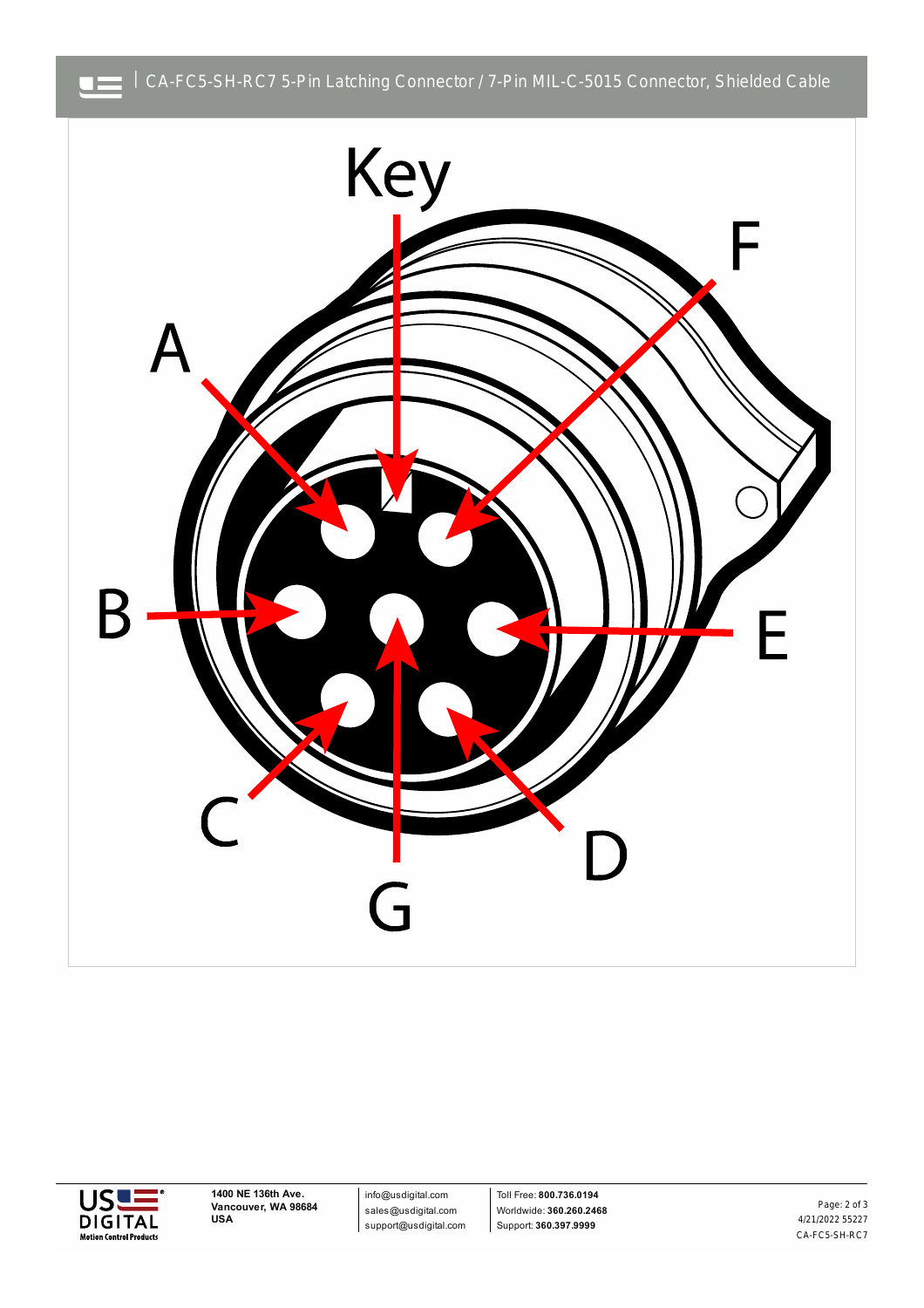



**1400 NE 136th Ave. Vancouver, WA 98684 USA**

info@usdigital.com sales@usdigital.com support@usdigital.com

Toll Free: **800.736.0194** Worldwide: **360.260.2468** Support: **360.397.9999**

4/21/2022 55227 CA-FC5-SH-RC7 Page: 2 of 3